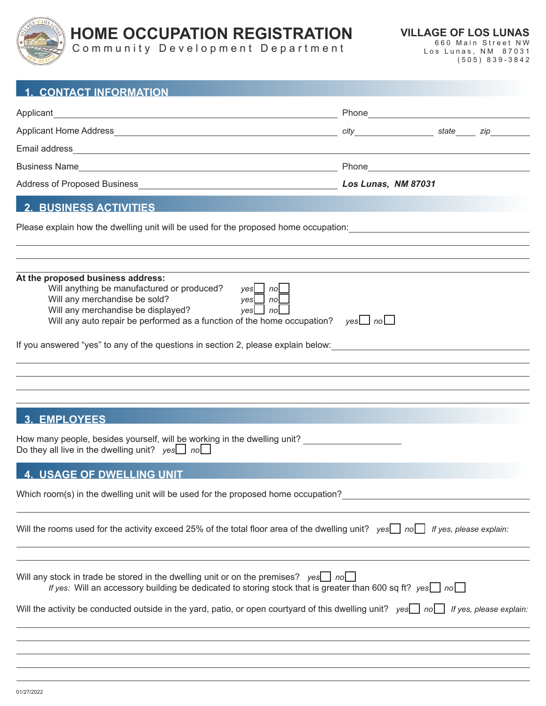

## **HOME OCCUPATION REGISTRATION**

Community Development Department

| <b>1. CONTACT INFORMATION</b>                                                                                                                                                                                                                                                                                                                                                                                                                |  |  |
|----------------------------------------------------------------------------------------------------------------------------------------------------------------------------------------------------------------------------------------------------------------------------------------------------------------------------------------------------------------------------------------------------------------------------------------------|--|--|
| Applicant                                                                                                                                                                                                                                                                                                                                                                                                                                    |  |  |
|                                                                                                                                                                                                                                                                                                                                                                                                                                              |  |  |
|                                                                                                                                                                                                                                                                                                                                                                                                                                              |  |  |
|                                                                                                                                                                                                                                                                                                                                                                                                                                              |  |  |
|                                                                                                                                                                                                                                                                                                                                                                                                                                              |  |  |
| <b>2. BUSINESS ACTIVITIES</b>                                                                                                                                                                                                                                                                                                                                                                                                                |  |  |
| Please explain how the dwelling unit will be used for the proposed home occupation:<br>Superiors and the control of the section of the section of the proposed home occupation:                                                                                                                                                                                                                                                              |  |  |
|                                                                                                                                                                                                                                                                                                                                                                                                                                              |  |  |
| At the proposed business address:<br>Will anything be manufactured or produced? $yes \bigsqcup no \bigsqcup$<br>Will any merchandise be sold?<br>$yes \bigsqcup no \bigsqcup$<br>Will any merchandise be displayed?<br>yes $\Box$ no $\Box$<br>Will any auto repair be performed as a function of the home occupation? $yes \rightarrow no \rightarrow$<br>If you answered "yes" to any of the questions in section 2, please explain below: |  |  |
|                                                                                                                                                                                                                                                                                                                                                                                                                                              |  |  |
|                                                                                                                                                                                                                                                                                                                                                                                                                                              |  |  |
|                                                                                                                                                                                                                                                                                                                                                                                                                                              |  |  |
| <b>3. EMPLOYEES</b>                                                                                                                                                                                                                                                                                                                                                                                                                          |  |  |
| How many people, besides yourself, will be working in the dwelling unit?<br>Do they all live in the dwelling unit? $yes \_$ no $\_$                                                                                                                                                                                                                                                                                                          |  |  |
| <b>4. USAGE OF DWELLING UNIT</b>                                                                                                                                                                                                                                                                                                                                                                                                             |  |  |
| Which room(s) in the dwelling unit will be used for the proposed home occupation?                                                                                                                                                                                                                                                                                                                                                            |  |  |
| Will the rooms used for the activity exceed 25% of the total floor area of the dwelling unit? $yes \rceil$ no $\lceil$ If yes, please explain:                                                                                                                                                                                                                                                                                               |  |  |
|                                                                                                                                                                                                                                                                                                                                                                                                                                              |  |  |
| Will any stock in trade be stored in the dwelling unit or on the premises? $yes$ no<br>If yes: Will an accessory building be dedicated to storing stock that is greater than 600 sq ft? yes $\Box$ no $\Box$                                                                                                                                                                                                                                 |  |  |
| Will the activity be conducted outside in the yard, patio, or open courtyard of this dwelling unit? yes nol If yes, please explain:                                                                                                                                                                                                                                                                                                          |  |  |
|                                                                                                                                                                                                                                                                                                                                                                                                                                              |  |  |